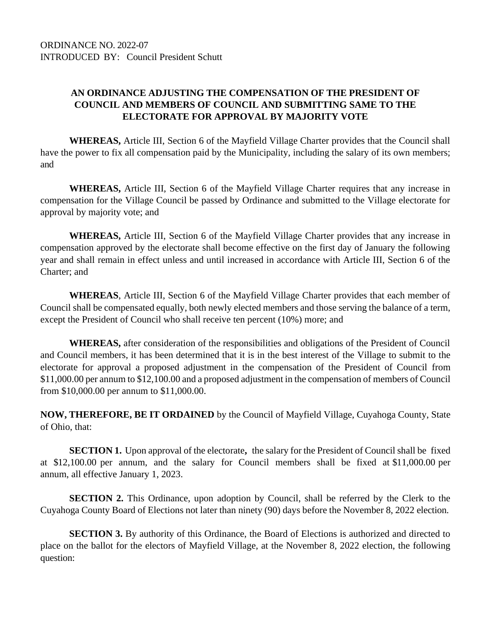## **AN ORDINANCE ADJUSTING THE COMPENSATION OF THE PRESIDENT OF COUNCIL AND MEMBERS OF COUNCIL AND SUBMITTING SAME TO THE ELECTORATE FOR APPROVAL BY MAJORITY VOTE**

**WHEREAS,** Article III, Section 6 of the Mayfield Village Charter provides that the Council shall have the power to fix all compensation paid by the Municipality, including the salary of its own members; and

**WHEREAS,** Article III, Section 6 of the Mayfield Village Charter requires that any increase in compensation for the Village Council be passed by Ordinance and submitted to the Village electorate for approval by majority vote; and

**WHEREAS,** Article III, Section 6 of the Mayfield Village Charter provides that any increase in compensation approved by the electorate shall become effective on the first day of January the following year and shall remain in effect unless and until increased in accordance with Article III, Section 6 of the Charter; and

**WHEREAS**, Article III, Section 6 of the Mayfield Village Charter provides that each member of Council shall be compensated equally, both newly elected members and those serving the balance of a term, except the President of Council who shall receive ten percent (10%) more; and

**WHEREAS,** after consideration of the responsibilities and obligations of the President of Council and Council members, it has been determined that it is in the best interest of the Village to submit to the electorate for approval a proposed adjustment in the compensation of the President of Council from \$11,000.00 per annum to \$12,100.00 and a proposed adjustment in the compensation of members of Council from \$10,000.00 per annum to \$11,000.00.

**NOW, THEREFORE, BE IT ORDAINED** by the Council of Mayfield Village, Cuyahoga County, State of Ohio, that:

**SECTION 1.** Upon approval of the electorate**,** the salary for the President of Council shall be fixed at \$12,100.00 per annum, and the salary for Council members shall be fixed at \$11,000.00 per annum, all effective January 1, 2023.

**SECTION** 2. This Ordinance, upon adoption by Council, shall be referred by the Clerk to the Cuyahoga County Board of Elections not later than ninety (90) days before the November 8, 2022 election.

**SECTION 3.** By authority of this Ordinance, the Board of Elections is authorized and directed to place on the ballot for the electors of Mayfield Village, at the November 8, 2022 election, the following question: